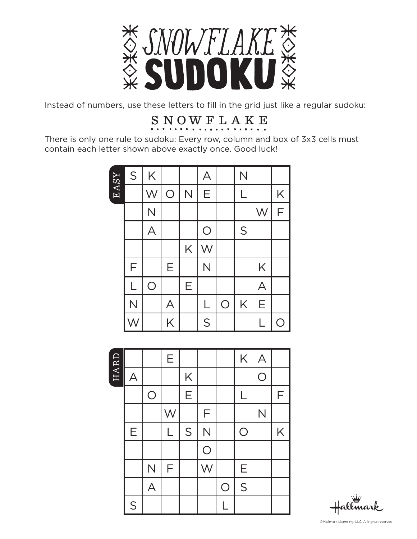

Instead of numbers, use these letters to fill in the grid just like a regular sudoku:

### S N O W F L A K E

There is only one rule to sudoku: Every row, column and box of 3x3 cells must contain each letter shown above exactly once. Good luck!

|      | S                       | K                       |            |   | А                       |            | N                       |                         |                |
|------|-------------------------|-------------------------|------------|---|-------------------------|------------|-------------------------|-------------------------|----------------|
| EASY |                         | W                       | $\bigcirc$ | N | Е                       |            | $\overline{\mathsf{L}}$ |                         | K              |
|      |                         | $\overline{\mathsf{N}}$ |            |   |                         |            |                         | W                       | $\mathsf F$    |
|      |                         | $\overline{\mathsf{A}}$ |            |   | $\bigcirc$              |            | S                       |                         |                |
|      |                         |                         |            | K | W                       |            |                         |                         |                |
|      | F                       |                         | Ε          |   | $\overline{\mathsf{N}}$ |            |                         | K                       |                |
|      | L                       | $\overline{O}$          |            | Ε |                         |            |                         | $\overline{\mathsf{A}}$ |                |
|      | $\overline{\mathsf{N}}$ |                         | A          |   | L                       | $\bigcirc$ | K                       | Ε                       |                |
|      |                         |                         | K          |   | S                       |            |                         |                         | $\overline{C}$ |



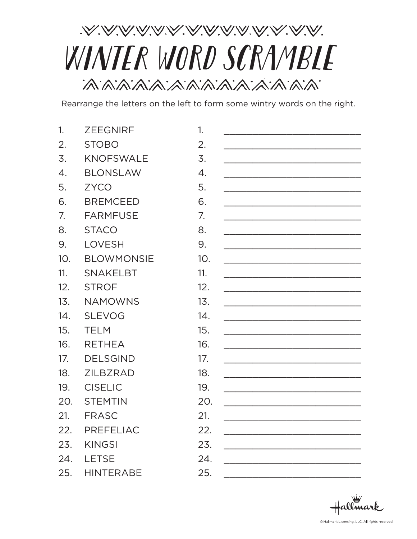# .V.V.V.V.V.V.V.V.V.V.V.V.V.V.V.V WINTER WORD SCRAMBLE

Rearrange the letters on the left to form some wintry words on the right.

| 1.               | <b>ZEEGNIRF</b>   | 1.              |  |
|------------------|-------------------|-----------------|--|
| 2.               | <b>STOBO</b>      | 2.              |  |
| 3.               | <b>KNOFSWALE</b>  | 3.              |  |
| $\overline{4}$ . | <b>BLONSLAW</b>   | 4.              |  |
| 5.               | <b>ZYCO</b>       | 5.              |  |
| 6.               | <b>BREMCEED</b>   | 6.              |  |
| 7.               | <b>FARMFUSE</b>   | 7.              |  |
| 8.               | <b>STACO</b>      | 8.              |  |
| 9.               | <b>LOVESH</b>     | 9.              |  |
| 10 <sub>1</sub>  | <b>BLOWMONSIE</b> | 10 <sub>1</sub> |  |
| 11.              | <b>SNAKELBT</b>   | 11.             |  |
| 12.              | <b>STROF</b>      | 12.             |  |
| 13.              | <b>NAMOWNS</b>    | 13.             |  |
| 14.              | <b>SLEVOG</b>     | 14.             |  |
| 15.              | <b>TELM</b>       | 15.             |  |
| 16.              | <b>RETHEA</b>     | 16.             |  |
| 17.              | <b>DELSGIND</b>   | 17.             |  |
| 18.              | <b>ZILBZRAD</b>   | 18.             |  |
| 19.              | <b>CISELIC</b>    | 19.             |  |
| 20.              | <b>STEMTIN</b>    | 20.             |  |
| 21.              | <b>FRASC</b>      | 21.             |  |
| 22.              | <b>PREFELIAC</b>  | 22.             |  |
| 23.              | <b>KINGSI</b>     | 23.             |  |
| 24.              | <b>LETSE</b>      | 24.             |  |
| 25.              | <b>HINTERABE</b>  | 25.             |  |

 $\#$ allmark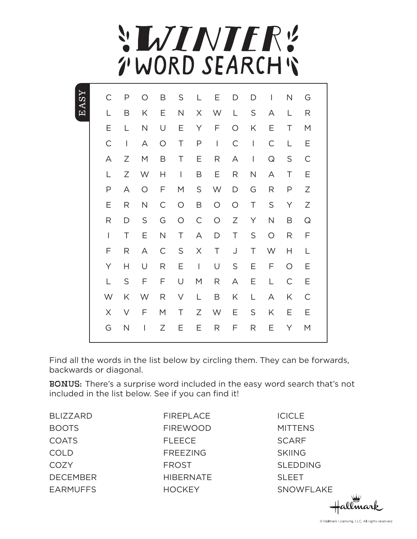## **SLVINTER!** TWORD SEARCH'S

| С              | Ρ              | Ω                              | B            | S                                     | L                                                                                                                                                                                                                                                                                                                                                                                | Ε                                     | D            | D              | T                       | N            | G            |
|----------------|----------------|--------------------------------|--------------|---------------------------------------|----------------------------------------------------------------------------------------------------------------------------------------------------------------------------------------------------------------------------------------------------------------------------------------------------------------------------------------------------------------------------------|---------------------------------------|--------------|----------------|-------------------------|--------------|--------------|
| L              | B              | K                              | Ε            | $\mathsf{N}$                          | X                                                                                                                                                                                                                                                                                                                                                                                | W                                     | L            | S              | Α                       | L            | R            |
| Ε              | L              | N                              | U            | Ε                                     | Υ                                                                                                                                                                                                                                                                                                                                                                                | F                                     | $\circ$      | Κ              | Ε                       | T            | M            |
| C              | $\overline{1}$ | A                              | $\bigcirc$   | $\top$                                | P                                                                                                                                                                                                                                                                                                                                                                                | $\begin{array}{c} \hline \end{array}$ | $\mathsf{C}$ | T              | C                       | L            | Ε            |
| A              | Ζ              | M                              | B            | Τ                                     | Ε                                                                                                                                                                                                                                                                                                                                                                                | R                                     | Α            | $\overline{1}$ | $\hbox{\large \bf Q}$   | $\mathsf S$  | $\mathsf C$  |
| L              | Ζ              | W                              | Н            | $\begin{array}{c} \hline \end{array}$ | B                                                                                                                                                                                                                                                                                                                                                                                | Ε                                     | R            | $\hbox{N}$     | Α                       | Τ            | Ε            |
| P              | А              | $\bigcirc$                     | F            | М                                     | $\mathsf S$                                                                                                                                                                                                                                                                                                                                                                      | W                                     | $\mathsf D$  | G              | R                       | $\mathsf P$  | Ζ            |
| Ε              | R              | $\mathsf{N}$                   | $\mathsf{C}$ | $\bigcirc$                            | B                                                                                                                                                                                                                                                                                                                                                                                | $\bigcirc$                            | $\bigcirc$   | Τ              | $\mathsf S$             | Υ            | Ζ            |
| R              | D              | $\mathsf S$                    | G            | $\bigcirc$                            | $\mathsf C$                                                                                                                                                                                                                                                                                                                                                                      | $\bigcirc$                            | Ζ            | Υ              | $\overline{\mathsf{N}}$ | B            | Q            |
| $\overline{1}$ | $\top$         | Ε                              | $\mathsf{N}$ | Τ                                     | Α                                                                                                                                                                                                                                                                                                                                                                                | D                                     | Τ            | $\mathsf S$    | $\bigcirc$              | R            | F            |
| F              | R              | Α                              | $\mathsf{C}$ | $\mathsf S$                           | Χ                                                                                                                                                                                                                                                                                                                                                                                | Τ                                     | $\bigcup$    | T              | W                       | Н            | L            |
| Υ              | Н              | U                              | R            | Ε                                     | $\begin{array}{c} \rule{0pt}{2.5ex} \rule{0pt}{2.5ex} \rule{0pt}{2.5ex} \rule{0pt}{2.5ex} \rule{0pt}{2.5ex} \rule{0pt}{2.5ex} \rule{0pt}{2.5ex} \rule{0pt}{2.5ex} \rule{0pt}{2.5ex} \rule{0pt}{2.5ex} \rule{0pt}{2.5ex} \rule{0pt}{2.5ex} \rule{0pt}{2.5ex} \rule{0pt}{2.5ex} \rule{0pt}{2.5ex} \rule{0pt}{2.5ex} \rule{0pt}{2.5ex} \rule{0pt}{2.5ex} \rule{0pt}{2.5ex} \rule{0$ | U                                     | S            | Ε              | F                       | $\circ$      | Ε            |
| L              | $\mathsf S$    | F                              | F            | U                                     | M                                                                                                                                                                                                                                                                                                                                                                                | $\mathsf{R}% _{T}$                    | А            | Ε              | L                       | $\mathsf{C}$ | Ε            |
| W              | Κ              | W                              | R            | V                                     | L                                                                                                                                                                                                                                                                                                                                                                                | B                                     | Κ            | L              | А                       | Κ            | $\mathsf{C}$ |
| $\times$       | $\vee$         | F                              | M            | Τ                                     | Ζ                                                                                                                                                                                                                                                                                                                                                                                | W                                     | Е            | S              | Κ                       | Е            | Е            |
| G              | $\mathsf{N}$   | $\begin{array}{c} \end{array}$ | Ζ            | Ε                                     | Ε                                                                                                                                                                                                                                                                                                                                                                                | R                                     | F            | R              | Ε                       | Υ            | M            |

Find all the words in the list below by circling them. They can be forwards, backwards or diagonal.

BONUS: There's a surprise word included in the easy word search that's not included in the list below. See if you can find it!

BLIZZARD BOOTS **COATS** COLD **COZY** DECEMBER EARMUFFS FIREPLACE FIREWOOD FLEECE FREEZING FROST **HIBERNATE HOCKEY** 

EASY

**ICICLE MITTENS SCARF** SKIING SLEDDING SLEET SNOWFLAKE

allmark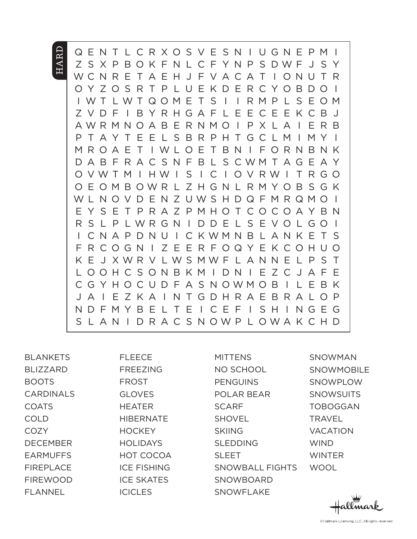#### **HARD** Q E N T L C R X O S V E S N I U G N E P M I Z S X P B O K F N L C F Y N P S D W F J S Y W C N R E T A E H J F V A C A T I O N U T R O Y Z O S R T P L U E K D E R C Y O B D O I I W T L W T Q O M E T S I I R M P L S E O M Z V D F I B Y R H G A F L E E C E E K C B J A W R M N O A B E R N M O I P X L A I E R B P T A Y T E E L S B R P H T G C L M I M Y I M R O A E T I W L O E T B N I F O R N B N K D A B F R A C S N F B L S C W M T A G E A Y O V W T M I H W I S I C I O V R W I T R G O O E O M B O W R L Z H G N L R M Y O B S G K W L N O V D E N Z U W S H D Q F M R Q M O I E Y S E T P R A Z P M H O T C O C O A Y B N R S L P L W R G N I D D E L S E V O L G O I I C N A P D N U I C K W M N B L A N K E T S F R C O G N I Z E E R F O Q Y E K C O H U O K E J X W R V L W S M W F L A N N E L P S T L O O H C S O N B K M I D N I E Z C J A F E C G Y H O C U D F A S N O W M O B I L E B K

J A I E Z K A I N T G D H R A E B R A L O P N D F M Y B E L T E I C E F I S H I N G E G S L A N I D R A C S N O W P L O W A K C H D

BLANKETS BLIZZARD BOOTS CARDINALS COATS COLD **COZY** DECEMBER EARMUFFS FIREPLACE FIREWOOD FLANNEL

FLEECE FREEZING FROST GLOVES **HEATER HIBERNATE HOCKEY HOLIDAYS** HOT COCOA ICE FISHING ICE SKATES ICICLES

MITTENS NO SCHOOL PENGUINS POLAR BEAR **SCARF SHOVEL** SKIING SLEDDING SLEET SNOWBALL FIGHTS **SNOWBOARD** SNOWFLAKE

SNOWMAN **SNOWMOBILE** SNOWPLOW **SNOWSUITS** TOBOGGAN **TRAVEL** VACATION **WIND** WINTER **WOOL**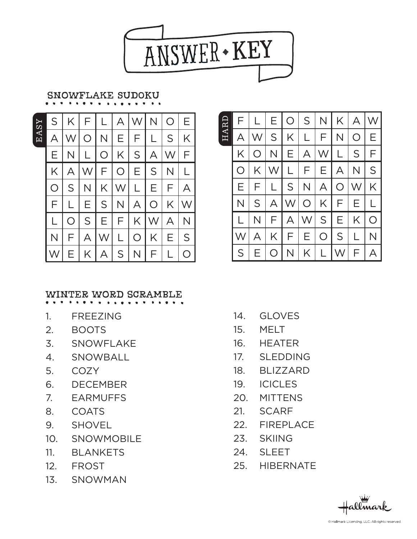

#### SNOWFLAKE sudoku

EASY

|            |                        |               |       |              | $S$   K   F   L   A   W          | $N \mid$          | $\bigcirc$ | E.                               |
|------------|------------------------|---------------|-------|--------------|----------------------------------|-------------------|------------|----------------------------------|
| A          | $\mathsf{I}\mathsf{W}$ |               |       |              | $O\vert N \vert E \vert F \vert$ | $\mathbb{R}$<br>L |            | $S$ $K$                          |
| Е.         | N.                     |               |       |              | L O K S A W                      |                   |            | ΕI                               |
|            | $K \mid A$             | W             |       | F O          |                                  |                   | E[S N]     | $\lfloor$                        |
| $\bigcirc$ | S                      | $\mid N \mid$ | K W   |              |                                  |                   |            | $L \mid E \mid F \mid A \mid$    |
| F          | L.                     | I E           | S N   |              | $A$ $O$ $K$                      |                   |            | $\mathsf{I}\mathsf{W}\mathsf{I}$ |
| L          | $\bigcirc$             |               | S E F |              |                                  |                   |            | K[W A N]                         |
| N          | F.                     | A             | W     | $\mathsf{L}$ | $\circ$                          | K                 | $E \mid$   | $\vert$ S $\vert$                |
|            | E.                     | K.            | A S   |              | $N_{\odot}$                      | F.                |            | $\overline{O}$                   |

#### WINTER WORD SCRAMBLE

- 1. FREEZING
- 2. BOOTS
- 3. SNOWFLAKE
- 4. SNOWBALL
- 5. COZY
- 6. DECEMBER
- 7. EARMUFFS
- 8. COATS
- 9. SHOVEL
- 10. SNOWMOBILE
- 11. BLANKETS
- 12. FROST
- 13. SNOWMAN

| HARD | F          |            | Е                                | $\bigcirc$              | S <sub>1</sub> | N I                | K              | A          |   |
|------|------------|------------|----------------------------------|-------------------------|----------------|--------------------|----------------|------------|---|
|      | А          | W          | S <sub>l</sub>                   | K                       | L              | F.                 | N              | $\bigcirc$ | Е |
|      | K          | $\bigcirc$ | N.                               | E.                      | $\mathsf{A}$   | $\vert W \vert$    | L              | S          | F |
|      | $\bigcirc$ | K          | $\mathsf{I}\mathsf{W}\mathsf{I}$ | L                       | F.             | E.<br>$\mathsf{l}$ | $\overline{A}$ | N          | S |
|      | Е          | F          |                                  | $S \mid$                | N.             | A                  | $\bigcirc$     | W          | K |
|      | N          | S          | A                                | $\mathsf{I}\mathsf{W}$  | $\overline{O}$ | K I                | F              | Е          |   |
|      |            | N          | F                                | $\forall$               | W              | S                  | Е              | K          | Ω |
|      |            | А          | K                                | F                       | Е              | $\bigcirc$         | S              |            | N |
|      | S          | E.         | $\bigcirc$                       | $\overline{\mathsf{N}}$ | K              |                    | W              | F          |   |

- 14. GLOVES
- 15. MELT
- 16. HEATER
- 17. SLEDDING
- 18. BLIZZARD
- 19. ICICLES
- 20. MITTENS
- 21. SCARF
- 22. FIREPLACE
- 23. SKIING
- 24. SLEET
- 25. HIBERNATE